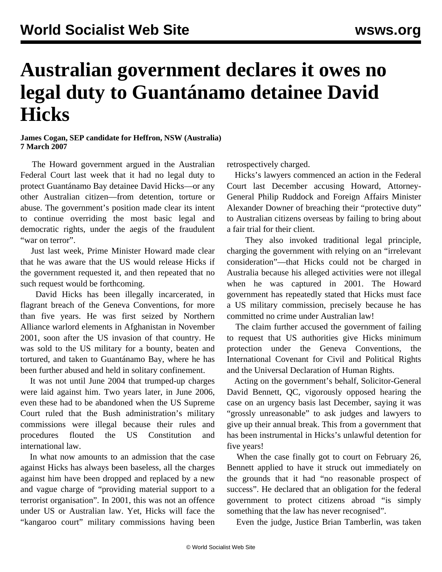## **Australian government declares it owes no legal duty to Guantánamo detainee David Hicks**

## **James Cogan, SEP candidate for Heffron, NSW (Australia) 7 March 2007**

 The Howard government argued in the Australian Federal Court last week that it had no legal duty to protect Guantánamo Bay detainee David Hicks—or any other Australian citizen—from detention, torture or abuse. The government's position made clear its intent to continue overriding the most basic legal and democratic rights, under the aegis of the fraudulent "war on terror".

 Just last week, Prime Minister Howard made clear that he was aware that the US would release Hicks if the government requested it, and then repeated that no such request would be forthcoming.

 David Hicks has been illegally incarcerated, in flagrant breach of the Geneva Conventions, for more than five years. He was first seized by Northern Alliance warlord elements in Afghanistan in November 2001, soon after the US invasion of that country. He was sold to the US military for a bounty, beaten and tortured, and taken to Guantánamo Bay, where he has been further abused and held in solitary confinement.

 It was not until June 2004 that trumped-up charges were laid against him. Two years later, in June 2006, even these had to be abandoned when the US Supreme Court ruled that the Bush administration's military commissions were illegal because their rules and procedures flouted the US Constitution and international law.

 In what now amounts to an admission that the case against Hicks has always been baseless, all the charges against him have been dropped and replaced by a new and vague charge of "providing material support to a terrorist organisation". In 2001, this was not an offence under US or Australian law. Yet, Hicks will face the "kangaroo court" military commissions having been retrospectively charged.

 Hicks's lawyers commenced an action in the Federal Court last December accusing Howard, Attorney-General Philip Ruddock and Foreign Affairs Minister Alexander Downer of breaching their "protective duty" to Australian citizens overseas by failing to bring about a fair trial for their client.

 They also invoked traditional legal principle, charging the government with relying on an "irrelevant consideration"—that Hicks could not be charged in Australia because his alleged activities were not illegal when he was captured in 2001. The Howard government has repeatedly stated that Hicks must face a US military commission, precisely because he has committed no crime under Australian law!

 The claim further accused the government of failing to request that US authorities give Hicks minimum protection under the Geneva Conventions, the International Covenant for Civil and Political Rights and the Universal Declaration of Human Rights.

 Acting on the government's behalf, Solicitor-General David Bennett, QC, vigorously opposed hearing the case on an urgency basis last December, saying it was "grossly unreasonable" to ask judges and lawyers to give up their annual break. This from a government that has been instrumental in Hicks's unlawful detention for five years!

 When the case finally got to court on February 26, Bennett applied to have it struck out immediately on the grounds that it had "no reasonable prospect of success". He declared that an obligation for the federal government to protect citizens abroad "is simply something that the law has never recognised".

Even the judge, Justice Brian Tamberlin, was taken